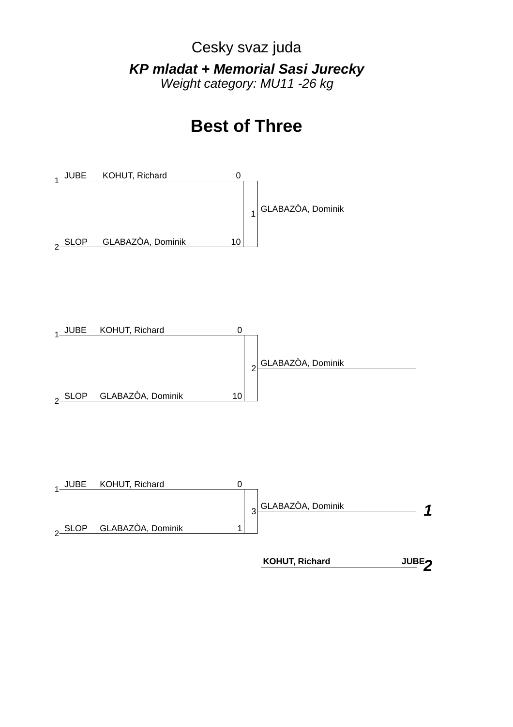Cesky svaz juda *KP mladat + Memorial Sasi Jurecky Weight category: MU11 -26 kg*

# **Best of Three**







 **KOHUT, Richard**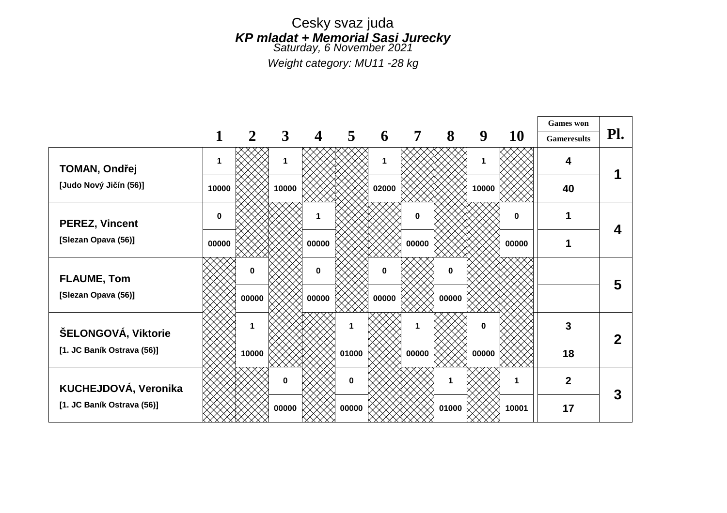*Weight category: MU11 -28 kg*

|                            |          |       |       |             |          |          |                |          |       |          | <b>Games</b> won   |             |
|----------------------------|----------|-------|-------|-------------|----------|----------|----------------|----------|-------|----------|--------------------|-------------|
|                            |          | 2     | 3     | 4           | 5        | 6        | $\overline{7}$ | 8        | 9     | 10       | <b>Gameresults</b> | Pl.         |
| <b>TOMAN, Ondřej</b>       | 1        |       | 1     |             |          | 1        |                |          | 1     |          | 4                  |             |
| [Judo Nový Jičín (56)]     | 10000    |       | 10000 |             |          | 02000    |                |          | 10000 |          | 40                 |             |
| <b>PEREZ, Vincent</b>      | $\bf{0}$ |       |       | 1           |          |          | $\mathbf 0$    |          |       | $\bf{0}$ | 1                  | 4           |
| [Slezan Opava (56)]        | 00000    |       |       | 00000       |          |          | 00000          |          |       | 00000    | 1                  |             |
| <b>FLAUME, Tom</b>         |          | 0     |       | $\mathbf 0$ |          | $\bf{0}$ |                | $\bf{0}$ |       |          |                    | 5           |
| [Slezan Opava (56)]        |          | 00000 |       | 00000       |          | 00000    |                | 00000    |       |          |                    |             |
| ŠELONGOVÁ, Viktorie        |          |       |       |             | 1        |          |                |          | 0     |          | 3                  | $\mathbf 2$ |
| [1. JC Baník Ostrava (56)] |          | 10000 |       |             | 01000    |          | 00000          |          | 00000 |          | 18                 |             |
| KUCHEJDOVÁ, Veronika       |          |       | 0     |             | $\bf{0}$ |          |                |          |       | 1        | $\overline{2}$     | 3           |
| [1. JC Baník Ostrava (56)] |          |       | 00000 |             | 00000    |          |                | 01000    |       | 10001    | 17                 |             |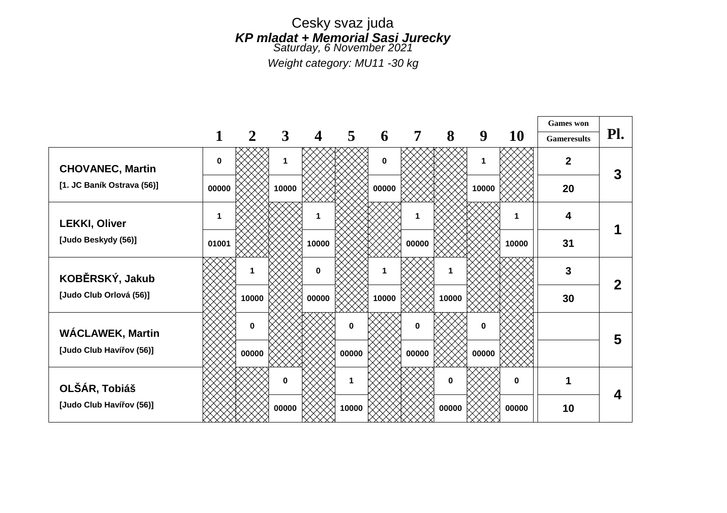*Weight category: MU11 -30 kg*

|                            |             |              |              |             |              |             |          |       |       |       | <b>Games</b> won   |     |
|----------------------------|-------------|--------------|--------------|-------------|--------------|-------------|----------|-------|-------|-------|--------------------|-----|
|                            |             | $\mathbf{2}$ | $\mathbf{3}$ | 4           | 5            | 6           | 7        | 8     | 9     | 10    | <b>Gameresults</b> | Pl. |
| <b>CHOVANEC, Martin</b>    | $\mathbf 0$ |              | 1            |             |              | $\mathbf 0$ |          |       | 1     |       | $\mathbf{2}$       | 3   |
| [1. JC Baník Ostrava (56)] | 00000       |              | 10000        |             |              | 00000       |          |       | 10000 |       | 20                 |     |
| <b>LEKKI, Oliver</b>       | 1           |              |              | 1           |              |             |          |       |       | 1     | 4                  |     |
| [Judo Beskydy (56)]        | 01001       |              |              | 10000       |              |             | 00000    |       |       | 10000 | 31                 |     |
| KOBĚRSKÝ, Jakub            |             |              |              | $\mathbf 0$ |              |             |          |       |       |       | 3                  | 2   |
| [Judo Club Orlová (56)]    |             | 10000        |              | 00000       |              | 10000       |          | 10000 |       |       | 30                 |     |
| <b>WÁCLAWEK, Martin</b>    |             | 0            |              |             | $\bf{0}$     |             | $\bf{0}$ |       | 0     |       |                    | 5   |
| [Judo Club Havířov (56)]   |             | 00000        |              |             | 00000        |             | 00000    |       | 00000 |       |                    |     |
| OLŠÁR, Tobiáš              |             |              | 0            |             | $\mathbf{1}$ |             |          | 0     |       | 0     | 1                  | 4   |
| [Judo Club Havířov (56)]   |             |              | 00000        |             | 10000        |             |          | 00000 |       | 00000 | 10                 |     |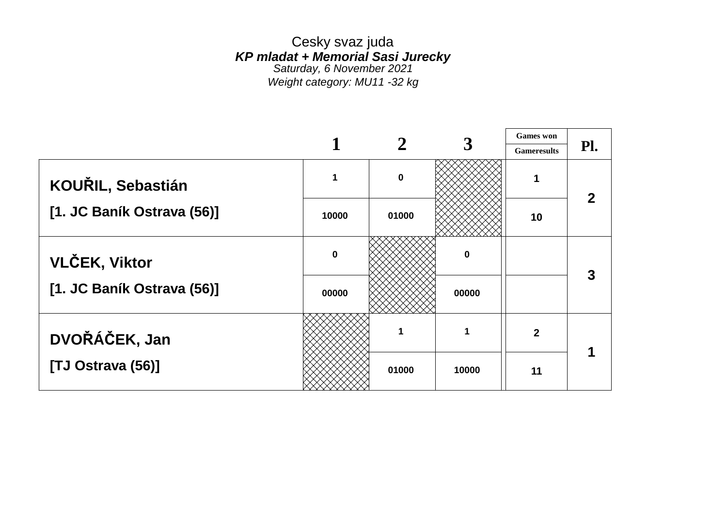Cesky svaz juda *KP mladat + Memorial Sasi Jurecky Saturday, 6 November 2021 Weight category: MU11 -32 kg*

|                            |           |          |       | <b>Games</b> won   |                            |
|----------------------------|-----------|----------|-------|--------------------|----------------------------|
|                            |           |          |       | <b>Gameresults</b> | $\mathbf{Pl.}$             |
| KOUŘIL, Sebastián          |           | $\bf{0}$ |       | 1                  | $\boldsymbol{\mathcal{P}}$ |
| [1. JC Baník Ostrava (56)] | 10000     | 01000    |       | 10                 |                            |
| <b>VLČEK, Viktor</b>       | $\pmb{0}$ |          | 0     |                    |                            |
| [1. JC Baník Ostrava (56)] | 00000     |          | 00000 |                    |                            |
| DVOŘÁČEK, Jan              |           |          | 1     | $\overline{2}$     |                            |
| [TJ Ostrava (56)]          |           | 01000    | 10000 | 11                 |                            |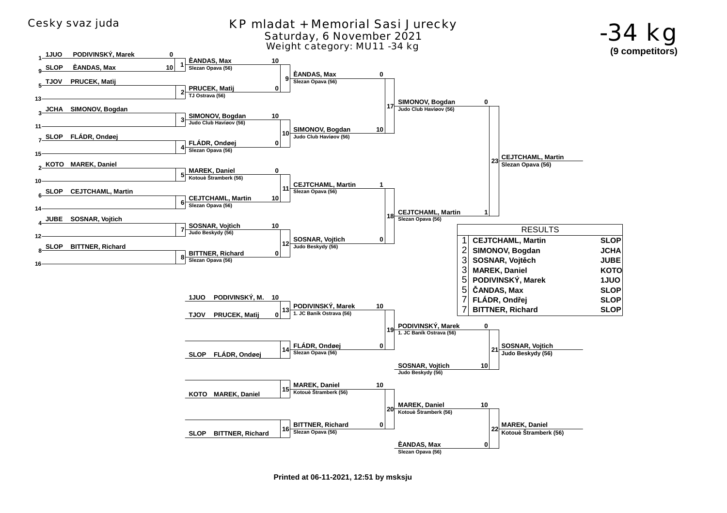

**Printed at 06-11-2021, 12:51 by msksju**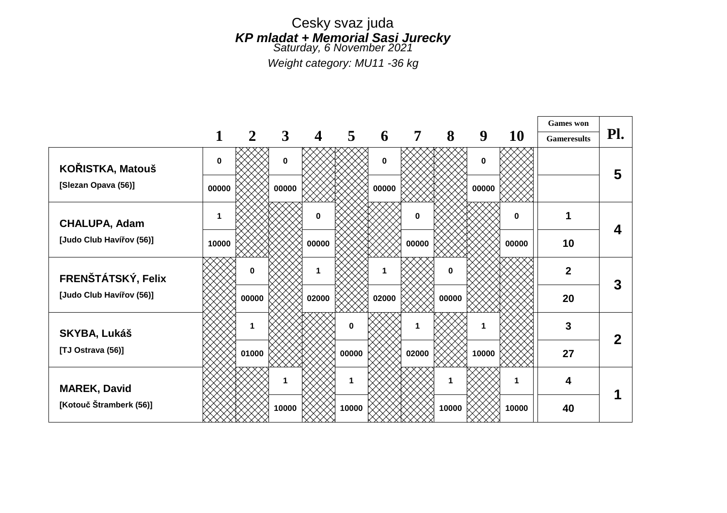*Weight category: MU11 -36 kg*

|                          |       |       |              |             |                |             |                |          |             |          | <b>Games</b> won   |              |
|--------------------------|-------|-------|--------------|-------------|----------------|-------------|----------------|----------|-------------|----------|--------------------|--------------|
|                          |       | 2     | $\mathbf{3}$ | 4           | $\overline{5}$ | 6           | $\overline{7}$ | 8        | 9           | 10       | <b>Gameresults</b> | Pl.          |
| KOŘISTKA, Matouš         | 0     |       | $\mathbf 0$  |             |                | $\mathbf 0$ |                |          | $\mathbf 0$ |          |                    | 5            |
| [Slezan Opava (56)]      | 00000 |       | 00000        |             |                | 00000       |                |          | 00000       |          |                    |              |
| <b>CHALUPA, Adam</b>     | 1     |       |              | $\mathbf 0$ |                |             | $\mathbf 0$    |          |             | $\bf{0}$ |                    | 4            |
| [Judo Club Havířov (56)] | 10000 |       |              | 00000       |                |             | 00000          |          |             | 00000    | 10                 |              |
| FRENŠTÁTSKÝ, Felix       |       | 0     |              | 1           |                |             |                | $\bf{0}$ |             |          | $\mathbf{2}$       | 3            |
| [Judo Club Havířov (56)] |       | 00000 |              | 02000       |                | 02000       |                | 00000    |             |          | 20                 |              |
| <b>SKYBA, Lukáš</b>      |       |       |              |             | $\bf{0}$       |             |                |          |             |          | 3                  | $\mathbf{2}$ |
| [TJ Ostrava (56)]        |       | 01000 |              |             | 00000          |             | 02000          |          | 10000       |          | 27                 |              |
| <b>MAREK, David</b>      |       |       | 1.           |             | 1              |             |                |          |             | 1        | 4                  |              |
| [Kotouč Štramberk (56)]  |       |       | 10000        |             | 10000          |             |                | 10000    |             | 10000    | 40                 |              |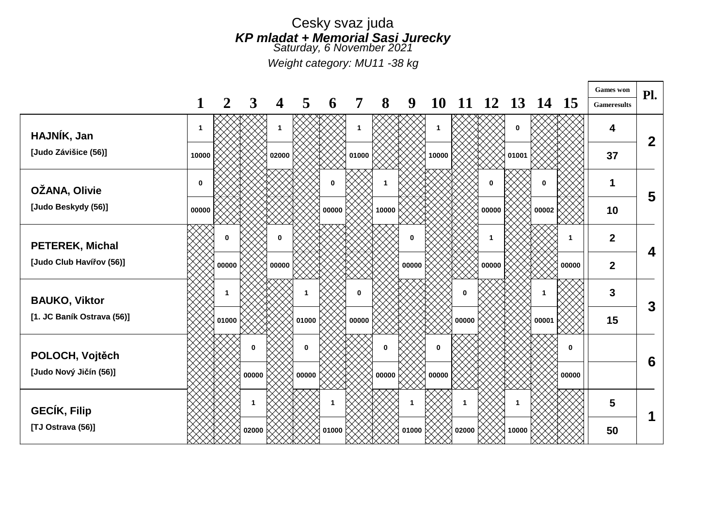*Weight category: MU11 -38 kg*

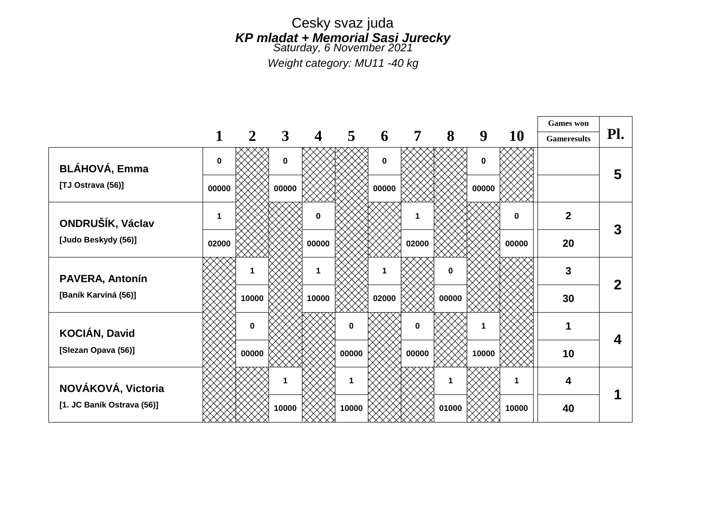*Weight category: MU11 -40 kg*

|                            |              |       |              |       |              |          |       |       |       |           | <b>Games</b> won   |     |
|----------------------------|--------------|-------|--------------|-------|--------------|----------|-------|-------|-------|-----------|--------------------|-----|
|                            |              | 2     | $\mathbf{3}$ | 4     | 5            | 6        | 7     | 8     | 9     | <b>10</b> | <b>Gameresults</b> | Pl. |
| <b>BLÁHOVÁ, Emma</b>       | $\bf{0}$     |       | 0            |       |              | $\bf{0}$ |       |       | 0     |           |                    | 5   |
| [TJ Ostrava (56)]          | 00000        |       | 00000        |       |              | 00000    |       |       | 00000 |           |                    |     |
| ONDRUŠÍK, Václav           | $\mathbf{1}$ |       |              | 0     |              |          |       |       |       | 0         | $\overline{2}$     | 3   |
| [Judo Beskydy (56)]        | 02000        |       |              | 00000 |              |          | 02000 |       |       | 00000     | 20                 |     |
| <b>PAVERA, Antonín</b>     |              |       |              | 1     |              |          |       | 0     |       |           | 3                  | 2   |
| [Baník Karviná (56)]       |              | 10000 |              | 10000 |              | 02000    |       | 00000 |       |           | 30                 |     |
| KOCIÁN, David              |              | 0     |              |       | $\bf{0}$     |          | 0     |       | 1     |           |                    | Δ   |
| [Slezan Opava (56)]        |              | 00000 |              |       | 00000        |          | 00000 |       | 10000 |           | 10                 |     |
| NOVÁKOVÁ, Victoria         |              |       | 1.           |       | $\mathbf{1}$ |          |       |       |       | 1         | 4                  |     |
| [1. JC Baník Ostrava (56)] |              |       | 10000        |       | 10000        |          |       | 01000 |       | 10000     | 40                 |     |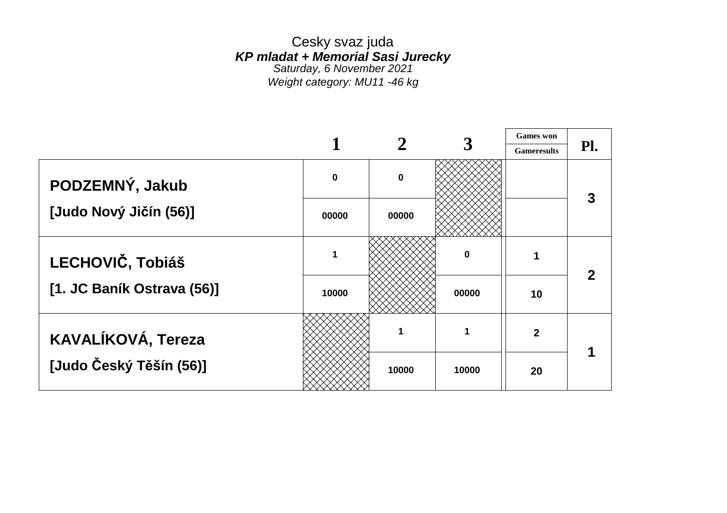Cesky svaz juda *KP mladat + Memorial Sasi Jurecky Saturday, 6 November 2021 Weight category: MU11 -46 kg*

 $\overline{\phantom{0}}$ 

|                            |           |          |       | <b>Games</b> won   |                |
|----------------------------|-----------|----------|-------|--------------------|----------------|
|                            |           |          |       | <b>Gameresults</b> | $\mathbf{Pl.}$ |
| PODZEMNÝ, Jakub            | $\pmb{0}$ | $\bf{0}$ |       |                    |                |
| [Judo Nový Jičín (56)]     | 00000     | 00000    |       |                    |                |
| LECHOVIČ, Tobiáš           | 1         |          | 0     |                    |                |
| [1. JC Baník Ostrava (56)] | 10000     |          | 00000 | 10                 |                |
| KAVALÍKOVÁ, Tereza         |           |          | 1     | $\overline{2}$     |                |
| [Judo Český Těšín (56)]    |           | 10000    | 10000 | 20                 |                |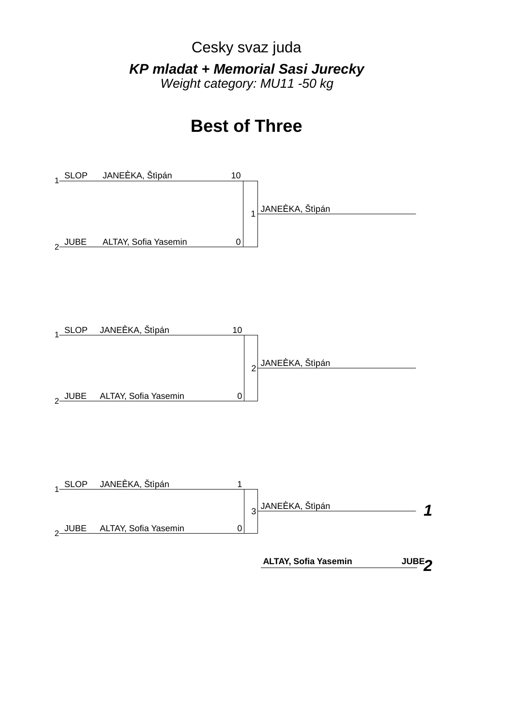Cesky svaz juda *KP mladat + Memorial Sasi Jurecky Weight category: MU11 -50 kg*

## **Best of Three**







 **ALTAY, Sofia Yasemin**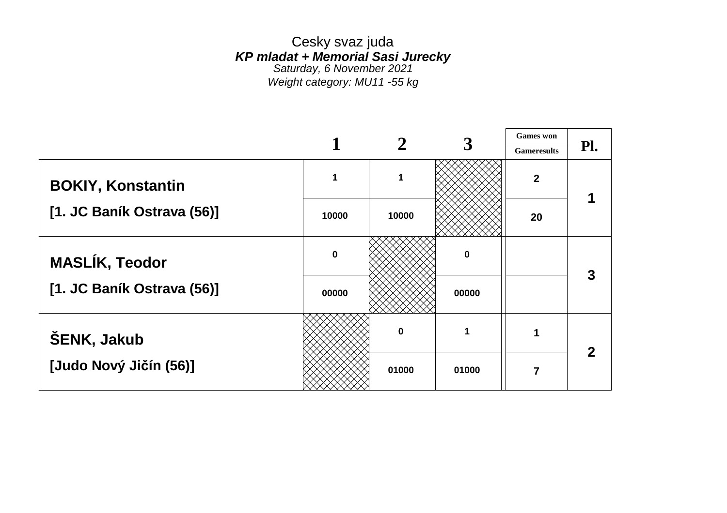Cesky svaz juda *KP mladat + Memorial Sasi Jurecky Saturday, 6 November 2021 Weight category: MU11 -55 kg*